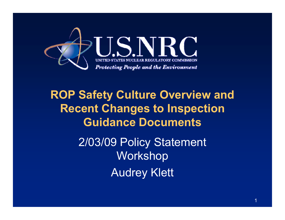

## **ROP Safety Culture Overview and Recent Changes to Inspection Guidance Documents**

2/03/09 Policy Statement Workshop Audrey Klett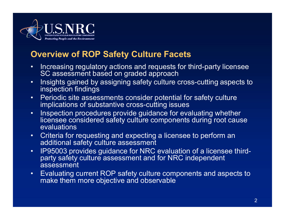

## **Overview of ROP Safety Culture Facets**

- • Increasing regulatory actions and requests for third-party licensee SC assessment based on graded approach
- • Insights gained by assigning safety culture cross-cutting aspects to inspection findings
- •Periodic site assessments consider potential for safety culture implications of substantive cross-cutting issues
- $\bullet$  Inspection procedures provide guidance for evaluating whether licensee considered safety culture components during root cause evaluations
- $\bullet$  Criteria for requesting and expecting a licensee to perform an additional safety culture assessment
- $\bullet$  IP95003 provides guidance for NRC evaluation of a licensee thirdparty safety culture assessment and for NRC independent assessment
- $\bullet$  Evaluating current ROP safety culture components and aspects to make them more objective and observable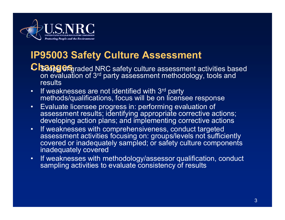

## **IP95003 Safety Culture Assessment**

- **CIsang of graded NRC safety culture assessment activities based** on evaluation of 3rd party assessment methodology, tools and **results**
- •If weaknesses are not identified with 3<sup>rd</sup> party methods/qualifications, focus will be on licensee response
- $\bullet$ Evaluate licensee progress in: performing evaluation of assessment results; identifying appropriate corrective actions; developing action plans; and implementing corrective actions
- •If weaknesses with comprehensiveness, conduct targeted assessment activities focusing on: groups/levels not sufficiently covered or inadequately sampled; or safety culture components inadequately covered
- • If weaknesses with methodology/assessor qualification, conduct sampling activities to evaluate consistency of results